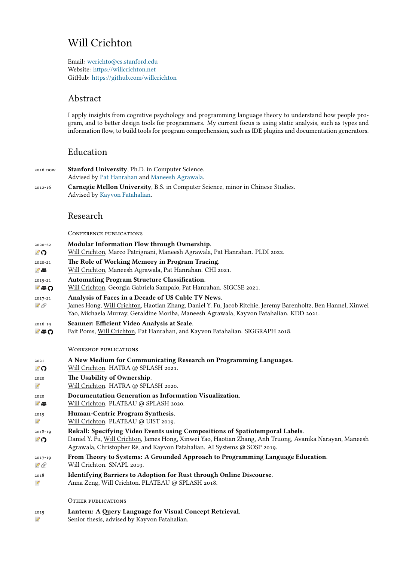# Will Crichton

Email: wcrichto@cs.stanford.edu Website: https://willcrichton.net GitHub: https://github.com/willcrichton

# Abst[ra](mailto:wcrichto@cs.stanford.edu)[ct](https://willcrichton.net)

I applyi[nsights from cognitive psycholo](https://github.com/willcrichton)gy and programming language theory to understand how people program, and to better design tools for programmers. My current focus is using static analysis, such as types and information flow, to build tools for program comprehension, such as IDE plugins and documentation generators.

## Education

- 2016-now **Stanford University**, Ph.D. in Computer Science. Advised by Pat Hanrahan and Maneesh Agrawala.
- 2012-16 **Carnegie Mellon University**, B.S. in Computer Science, minor in Chinese Studies. Advised by Kayvon Fatahalian.

### Researc[h](https://graphics.stanford.edu/~hanrahan/)

ConfeRenc[e publications](https://graphics.stanford.edu/~kayvonf/)

2020-22 **Modular Information Flow through Ownership**. ื⊘ Will Crichton, Marco Patrignani, Maneesh Agrawala, Pat Hanrahan. PLDI 2022. 2020-21 **The Role of Working Memory in Program Tracing**.  $\mathscr{O}$   $\mathscr{P}$ Will Crichton, Maneesh Agrawala, Pat Hanrahan. CHI 2021. [201](https://arxiv.org/abs/2111.13662)[9-2](https://github.com/willcrichton/flowistry)1 **Automating Program Structure Classification**. **DEQ** Will Crichton, Georgia Gabriela Sampaio, Pat Hanrahan. SIGCSE 2021. [201](https://arxiv.org/abs/2101.06305)[7-2](https://www.youtube.com/watch?v=-C1gQg07Jis)1 **Analysis of Faces in a Decade of US Cable TV News**.  $\mathscr{P}\mathscr{Q}$ James Hong, Will Crichton, Haotian Zhang, Daniel Y. Fu, Jacob Ritchie, Jeremy Barenholtz, Ben Hannel, Xinwei Yao, Michaela Murray, Geraldine Moriba, Maneesh Agrawala, Kayvon Fatahalian. KDD 2021. [201](https://arxiv.org/abs/2101.10087)[6-](https://youtu.be/yJ6mMGJWSTY)[19](https://github.com/willcrichton/autoplan) **Scanner: Efficient Video Analysis at Scale**. Fait Poms, Will Crichton, Pat Hanrahan, and Kayvon Fatahalian. SIGGRAPH 2018. **1≌0** WoRKshop publications [202](https://arxiv.org/abs/1805.07339)[1](https://www.youtube.com/watch?v=TUnVznAnbWU) **A New Medium for Communicating Research on Programming Languages.** Will Crichton. HATRA @ SPLASH 2021. 20 2020 **The Usability of Ownership**. Will Crichton. HATRA @ SPLASH 2020.  $\overline{\mathscr{O}}$ [202](https://willcrichton.net/nota/)[0](https://github.com/willcrichton/nota) **Documentation Generation as Information Visualization**. Will Crichton. PLATEAU @ SPLASH 2020.  $\mathscr{O}$  . [201](https://arxiv.org/abs/2011.06171)9 **Human-Centric Program Synthesis**. Will Crichton. PLATEAU @ UIST 2019.  $\varnothing$ [201](https://arxiv.org/abs/2011.05600)[8-1](https://www.youtube.com/watch?v=WIfuYjLq300)9 **Rekall: Specifying Video Events using Compositions of Spatiotemporal Labels**. ⊉ດ Daniel Y. Fu, Will Crichton, James Hong, Xinwei Yao, Haotian Zhang, Anh Truong, Avanika Narayan, Maneesh Agrawala, Christopher Ré, and Kayvon Fatahalian. AI Systems @ SOSP 2019. [201](https://arxiv.org/abs/1909.12281)7-19 **From Theory to Systems: A Grounded Approach to Programming Language Education**.  $100$ Will Crichton. SNAPL 2019. [20](https://arxiv.org/abs/1910.02993)[18](https://github.com/scanner-research/rekall/) **Identifying Barriers to Adoption for Rust through Online Discourse**.  $\overline{\mathscr{O}}$ Anna Zeng, Will Crichton. PLATEAU @ SPLASH 2018. OTHER PUBLICATIONS [201](https://arxiv.org/abs/1901.01001)5 **Lantern: A Query Language for Visual Concept Retrieval**. Senior thesis, advised by Kayvon Fatahalian. $\varnothing$